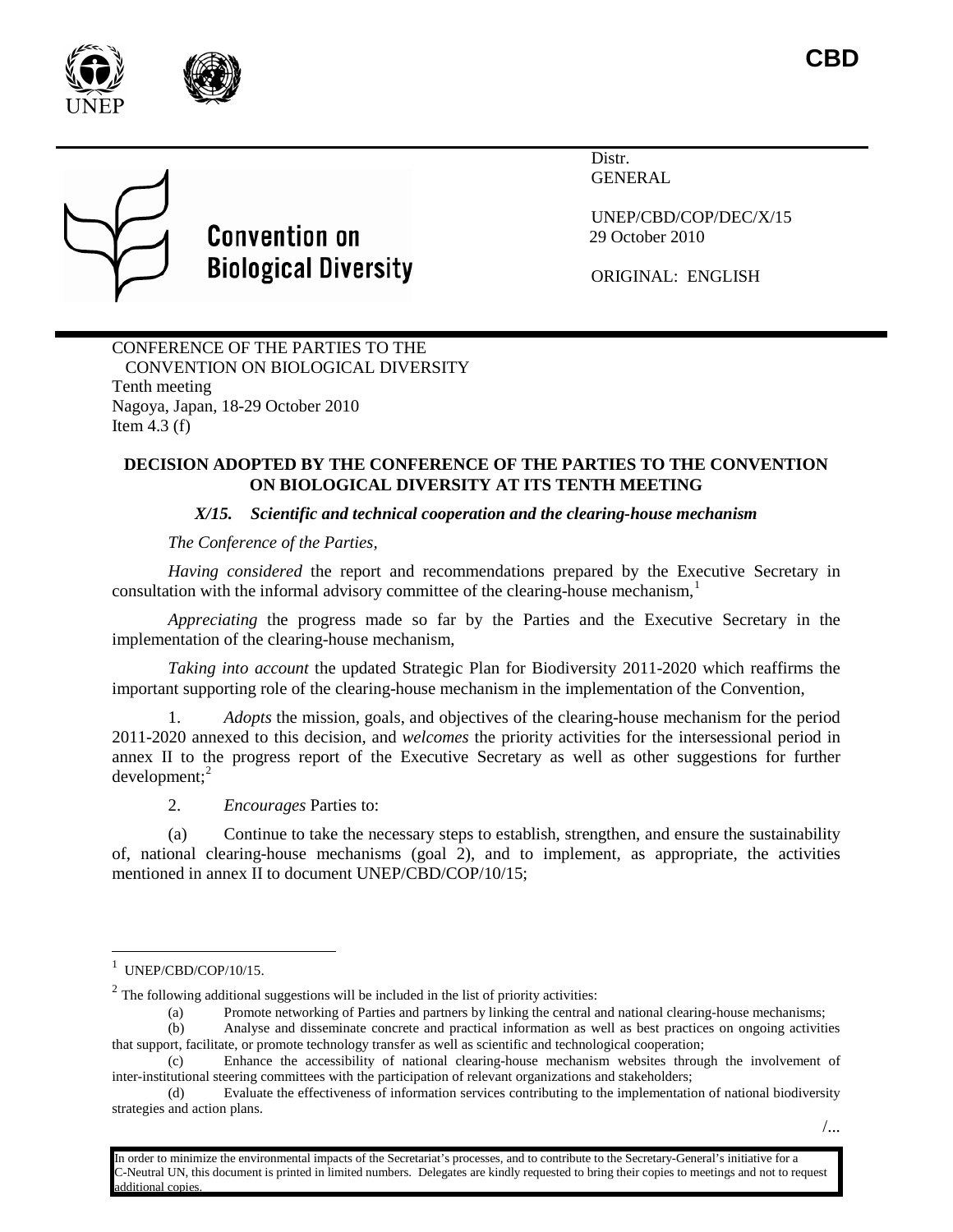



# **Convention on Biological Diversity**

**Distr** GENERAL

UNEP/CBD/COP/DEC/X/15 29 October 2010

ORIGINAL: ENGLISH

CONFERENCE OF THE PARTIES TO THE CONVENTION ON BIOLOGICAL DIVERSITY Tenth meeting Nagoya, Japan, 18-29 October 2010 Item  $4.3$  (f)

## **DECISION ADOPTED BY THE CONFERENCE OF THE PARTIES TO THE CONVENTION ON BIOLOGICAL DIVERSITY AT ITS TENTH MEETING**

# *X/15. Scientific and technical cooperation and the clearing-house mechanism*

*The Conference of the Parties,*

*Having considered* the report and recommendations prepared by the Executive Secretary in consultation with the informal advisory committee of the clearing-house mechanism, $<sup>1</sup>$  $<sup>1</sup>$  $<sup>1</sup>$ </sup>

*Appreciating* the progress made so far by the Parties and the Executive Secretary in the implementation of the clearing-house mechanism,

*Taking into account* the updated Strategic Plan for Biodiversity 2011-2020 which reaffirms the important supporting role of the clearing-house mechanism in the implementation of the Convention,

1. *Adopts* the mission, goals, and objectives of the clearing-house mechanism for the period 2011-2020 annexed to this decision, and *welcomes* the priority activities for the intersessional period in annex II to the progress report of the Executive Secretary as well as other suggestions for further  $d$ evelopment;<sup>[2](#page-0-1)</sup>

2. *Encourages* Parties to:

(a) Continue to take the necessary steps to establish, strengthen, and ensure the sustainability of, national clearing-house mechanisms (goal 2), and to implement, as appropriate, the activities mentioned in annex II to document UNEP/CBD/COP/10/15;

(a) Promote networking of Parties and partners by linking the central and national clearing-house mechanisms;<br>(b) Analyse and disseminate concrete and practical information as well as best practices on ongoing activiti

In order to minimize the environmental impacts of the Secretariat's processes, and to contribute to the Secretary-General's initiative for a C-Neutral UN, this document is printed in limited numbers. Delegates are kindly requested to bring their copies to meetings and not to request dditional copies

<span id="page-0-0"></span> $\frac{1}{1}$  $1$  UNEP/CBD/COP/10/15.

<span id="page-0-1"></span> $2^2$  The following additional suggestions will be included in the list of priority activities:

<sup>(</sup>b) Analyse and disseminate concrete and practical information as well as best practices on ongoing activities that support, facilitate, or promote technology transfer as well as scientific and technological cooperation;

<sup>(</sup>c) Enhance the accessibility of national clearing-house mechanism websites through the involvement of inter-institutional steering committees with the participation of relevant organizations and stakeholders;

<sup>(</sup>d) Evaluate the effectiveness of information services contributing to the implementation of national biodiversity strategies and action plans.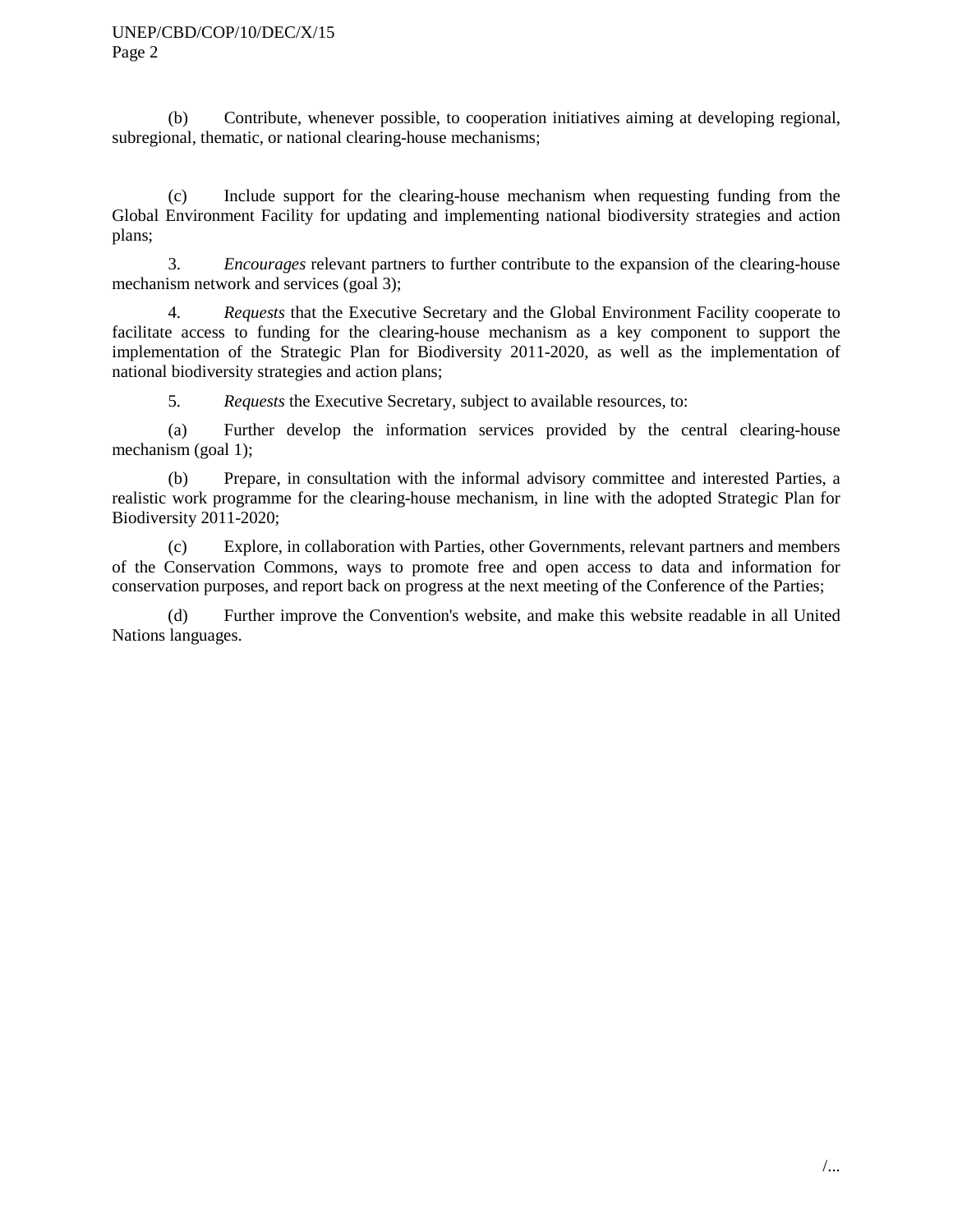(b) Contribute, whenever possible, to cooperation initiatives aiming at developing regional, subregional, thematic, or national clearing-house mechanisms;

(c) Include support for the clearing-house mechanism when requesting funding from the Global Environment Facility for updating and implementing national biodiversity strategies and action plans;

3. *Encourages*  relevant partners to further contribute to the expansion of the clearing-house mechanism network and services (goal 3);

4. *Requests* that the Executive Secretary and the Global Environment Facility cooperate to facilitate access to funding for the clearing-house mechanism as a key component to support the implementation of the Strategic Plan for Biodiversity 2011-2020, as well as the implementation of national biodiversity strategies and action plans;

5. *Requests* the Executive Secretary, subject to available resources, to:

(a) Further develop the information services provided by the central clearing-house mechanism (goal 1);

(b) Prepare, in consultation with the informal advisory committee and interested Parties, a realistic work programme for the clearing-house mechanism, in line with the adopted Strategic Plan for Biodiversity 2011-2020;

(c) Explore, in collaboration with Parties, other Governments, relevant partners and members of the Conservation Commons, ways to promote free and open access to data and information for conservation purposes, and report back on progress at the next meeting of the Conference of the Parties;

(d) Further improve the Convention's website, and make this website readable in all United Nations languages.